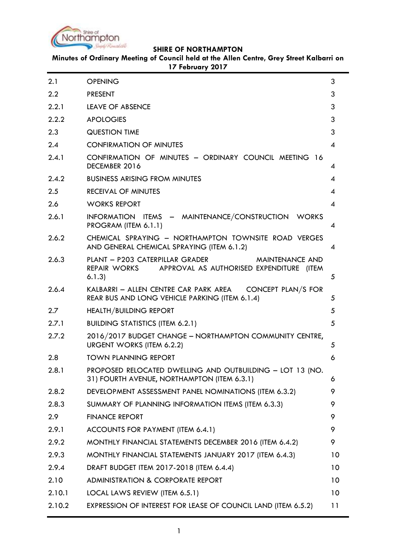

**Minutes of Ordinary Meeting of Council held at the Allen Centre, Grey Street Kalbarri on 17 February 2017**

| 2.1    | <b>OPENING</b>                                                                                                               | 3                        |
|--------|------------------------------------------------------------------------------------------------------------------------------|--------------------------|
| 2.2    | <b>PRESENT</b>                                                                                                               | 3                        |
| 2.2.1  | <b>LEAVE OF ABSENCE</b>                                                                                                      | 3                        |
| 2.2.2  | <b>APOLOGIES</b>                                                                                                             | 3                        |
| 2.3    | <b>QUESTION TIME</b>                                                                                                         | 3                        |
| 2.4    | <b>CONFIRMATION OF MINUTES</b>                                                                                               | 4                        |
| 2.4.1  | CONFIRMATION OF MINUTES - ORDINARY COUNCIL MEETING 16<br>DECEMBER 2016                                                       | 4                        |
| 2.4.2  | <b>BUSINESS ARISING FROM MINUTES</b>                                                                                         | 4                        |
| 2.5    | <b>RECEIVAL OF MINUTES</b>                                                                                                   | $\overline{\mathcal{A}}$ |
| 2.6    | <b>WORKS REPORT</b>                                                                                                          | $\boldsymbol{\varDelta}$ |
| 2.6.1  | INFORMATION ITEMS - MAINTENANCE/CONSTRUCTION WORKS<br>PROGRAM (ITEM 6.1.1)                                                   | 4                        |
| 2.6.2  | CHEMICAL SPRAYING - NORTHAMPTON TOWNSITE ROAD VERGES<br>AND GENERAL CHEMICAL SPRAYING (ITEM 6.1.2)                           | 4                        |
| 2.6.3  | PLANT - P203 CATERPILLAR GRADER<br><b>MAINTENANCE AND</b><br>REPAIR WORKS APPROVAL AS AUTHORISED EXPENDITURE (ITEM<br>6.1.3) | 5                        |
| 2.6.4  | KALBARRI - ALLEN CENTRE CAR PARK AREA<br>CONCEPT PLAN/S FOR<br>REAR BUS AND LONG VEHICLE PARKING (ITEM 6.1.4)                | 5                        |
| 2.7    | <b>HEALTH/BUILDING REPORT</b>                                                                                                | 5                        |
| 2.7.1  | <b>BUILDING STATISTICS (ITEM 6.2.1)</b>                                                                                      | 5                        |
| 2.7.2  | 2016/2017 BUDGET CHANGE - NORTHAMPTON COMMUNITY CENTRE,<br>URGENT WORKS (ITEM 6.2.2)                                         | 5                        |
| 2.8    | <b>TOWN PLANNING REPORT</b>                                                                                                  | 6                        |
| 2.8.1  | PROPOSED RELOCATED DWELLING AND OUTBUILDING - LOT 13 (NO.<br>31) FOURTH AVENUE, NORTHAMPTON (ITEM 6.3.1)                     | 6                        |
| 2.8.2  | DEVELOPMENT ASSESSMENT PANEL NOMINATIONS (ITEM 6.3.2)                                                                        | 9                        |
| 2.8.3  | SUMMARY OF PLANNING INFORMATION ITEMS (ITEM 6.3.3)                                                                           | 9                        |
| 2.9    | <b>FINANCE REPORT</b>                                                                                                        | 9                        |
| 2.9.1  | ACCOUNTS FOR PAYMENT (ITEM 6.4.1)                                                                                            | 9                        |
| 2.9.2  | MONTHLY FINANCIAL STATEMENTS DECEMBER 2016 (ITEM 6.4.2)                                                                      | 9                        |
| 2.9.3  | MONTHLY FINANCIAL STATEMENTS JANUARY 2017 (ITEM 6.4.3)                                                                       | 10                       |
| 2.9.4  | DRAFT BUDGET ITEM 2017-2018 (ITEM 6.4.4)                                                                                     | 10                       |
| 2.10   | <b>ADMINISTRATION &amp; CORPORATE REPORT</b>                                                                                 | 10 <sup>°</sup>          |
| 2.10.1 | LOCAL LAWS REVIEW (ITEM 6.5.1)                                                                                               | 10 <sup>°</sup>          |
| 2.10.2 | EXPRESSION OF INTEREST FOR LEASE OF COUNCIL LAND (ITEM 6.5.2)                                                                | 11                       |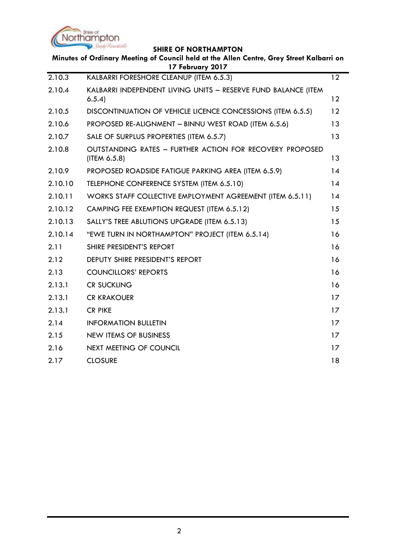

| 2.10.3<br>12<br>KALBARRI FORESHORE CLEANUP (ITEM 6.5.3)<br>2.10.4<br>KALBARRI INDEPENDENT LIVING UNITS - RESERVE FUND BALANCE (ITEM<br>12<br>6.5.4<br>12<br>DISCONTINUATION OF VEHICLE LICENCE CONCESSIONS (ITEM 6.5.5)<br>2.10.5<br>2.10.6<br>13<br>PROPOSED RE-ALIGNMENT - BINNU WEST ROAD (ITEM 6.5.6)<br>2.10.7<br>13<br>SALE OF SURPLUS PROPERTIES (ITEM 6.5.7)<br>2.10.8<br><b>OUTSTANDING RATES - FURTHER ACTION FOR RECOVERY PROPOSED</b><br>(ITEM 6.5.8)<br>13<br>14<br>2.10.9<br>PROPOSED ROADSIDE FATIGUE PARKING AREA (ITEM 6.5.9)<br>2.10.10<br>TELEPHONE CONFERENCE SYSTEM (ITEM 6.5.10)<br>14<br>2.10.11<br>WORKS STAFF COLLECTIVE EMPLOYMENT AGREEMENT (ITEM 6.5.11)<br>14<br>15<br>2.10.12<br>CAMPING FEE EXEMPTION REQUEST (ITEM 6.5.12)<br>15<br>2.10.13<br>SALLY'S TREE ABLUTIONS UPGRADE (ITEM 6.5.13)<br>2.10.14<br>16<br>"EWE TURN IN NORTHAMPTON" PROJECT (ITEM 6.5.14)<br>2.11<br>16<br>SHIRE PRESIDENT'S REPORT |  |
|-------------------------------------------------------------------------------------------------------------------------------------------------------------------------------------------------------------------------------------------------------------------------------------------------------------------------------------------------------------------------------------------------------------------------------------------------------------------------------------------------------------------------------------------------------------------------------------------------------------------------------------------------------------------------------------------------------------------------------------------------------------------------------------------------------------------------------------------------------------------------------------------------------------------------------------------|--|
|                                                                                                                                                                                                                                                                                                                                                                                                                                                                                                                                                                                                                                                                                                                                                                                                                                                                                                                                           |  |
|                                                                                                                                                                                                                                                                                                                                                                                                                                                                                                                                                                                                                                                                                                                                                                                                                                                                                                                                           |  |
|                                                                                                                                                                                                                                                                                                                                                                                                                                                                                                                                                                                                                                                                                                                                                                                                                                                                                                                                           |  |
|                                                                                                                                                                                                                                                                                                                                                                                                                                                                                                                                                                                                                                                                                                                                                                                                                                                                                                                                           |  |
|                                                                                                                                                                                                                                                                                                                                                                                                                                                                                                                                                                                                                                                                                                                                                                                                                                                                                                                                           |  |
|                                                                                                                                                                                                                                                                                                                                                                                                                                                                                                                                                                                                                                                                                                                                                                                                                                                                                                                                           |  |
|                                                                                                                                                                                                                                                                                                                                                                                                                                                                                                                                                                                                                                                                                                                                                                                                                                                                                                                                           |  |
|                                                                                                                                                                                                                                                                                                                                                                                                                                                                                                                                                                                                                                                                                                                                                                                                                                                                                                                                           |  |
|                                                                                                                                                                                                                                                                                                                                                                                                                                                                                                                                                                                                                                                                                                                                                                                                                                                                                                                                           |  |
|                                                                                                                                                                                                                                                                                                                                                                                                                                                                                                                                                                                                                                                                                                                                                                                                                                                                                                                                           |  |
|                                                                                                                                                                                                                                                                                                                                                                                                                                                                                                                                                                                                                                                                                                                                                                                                                                                                                                                                           |  |
|                                                                                                                                                                                                                                                                                                                                                                                                                                                                                                                                                                                                                                                                                                                                                                                                                                                                                                                                           |  |
|                                                                                                                                                                                                                                                                                                                                                                                                                                                                                                                                                                                                                                                                                                                                                                                                                                                                                                                                           |  |
| 2.12<br>16<br><b>DEPUTY SHIRE PRESIDENT'S REPORT</b>                                                                                                                                                                                                                                                                                                                                                                                                                                                                                                                                                                                                                                                                                                                                                                                                                                                                                      |  |
| 2.13<br>16<br><b>COUNCILLORS' REPORTS</b>                                                                                                                                                                                                                                                                                                                                                                                                                                                                                                                                                                                                                                                                                                                                                                                                                                                                                                 |  |
| 2.13.1<br>16<br><b>CR SUCKLING</b>                                                                                                                                                                                                                                                                                                                                                                                                                                                                                                                                                                                                                                                                                                                                                                                                                                                                                                        |  |
| 2.13.1<br><b>CR KRAKOUER</b><br>17                                                                                                                                                                                                                                                                                                                                                                                                                                                                                                                                                                                                                                                                                                                                                                                                                                                                                                        |  |
| 2.13.1<br><b>CR PIKE</b><br>17                                                                                                                                                                                                                                                                                                                                                                                                                                                                                                                                                                                                                                                                                                                                                                                                                                                                                                            |  |
| 2.14<br>17<br><b>INFORMATION BULLETIN</b>                                                                                                                                                                                                                                                                                                                                                                                                                                                                                                                                                                                                                                                                                                                                                                                                                                                                                                 |  |
| 2.15<br><b>NEW ITEMS OF BUSINESS</b><br>17                                                                                                                                                                                                                                                                                                                                                                                                                                                                                                                                                                                                                                                                                                                                                                                                                                                                                                |  |
| 2.16<br><b>NEXT MEETING OF COUNCIL</b><br>17                                                                                                                                                                                                                                                                                                                                                                                                                                                                                                                                                                                                                                                                                                                                                                                                                                                                                              |  |
| <b>CLOSURE</b><br>18<br>2.17                                                                                                                                                                                                                                                                                                                                                                                                                                                                                                                                                                                                                                                                                                                                                                                                                                                                                                              |  |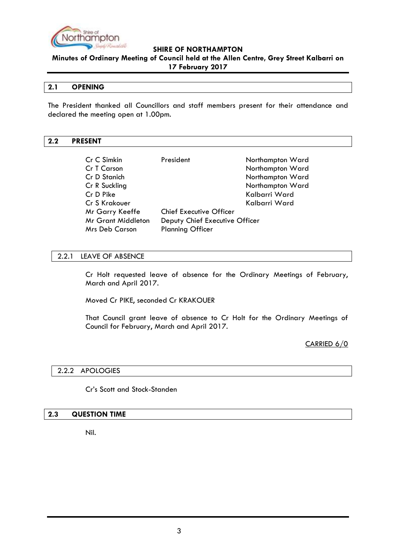

**Minutes of Ordinary Meeting of Council held at the Allen Centre, Grey Street Kalbarri on 17 February 2017**

## <span id="page-2-0"></span>**2.1 OPENING**

The President thanked all Councillors and staff members present for their attendance and declared the meeting open at 1.00pm.

#### <span id="page-2-1"></span>**2.2 PRESENT**

| Cr C Simkin               | President                      | Northampton Ward |
|---------------------------|--------------------------------|------------------|
| Cr T Carson               |                                | Northampton Ward |
| Cr D Stanich              |                                | Northampton Ward |
| Cr R Suckling             |                                | Northampton Ward |
| Cr D Pike                 |                                | Kalbarri Ward    |
| Cr S Krakouer             |                                | Kalbarri Ward    |
| Mr Garry Keeffe           | <b>Chief Executive Officer</b> |                  |
| <b>Mr Grant Middleton</b> | Deputy Chief Executive Officer |                  |
| <b>Mrs Deb Carson</b>     | <b>Planning Officer</b>        |                  |

#### <span id="page-2-2"></span>2.2.1 LEAVE OF ABSENCE

Cr Holt requested leave of absence for the Ordinary Meetings of February, March and April 2017.

Moved Cr PIKE, seconded Cr KRAKOUER

That Council grant leave of absence to Cr Holt for the Ordinary Meetings of Council for February, March and April 2017.

CARRIED 6/0

#### <span id="page-2-3"></span>2.2.2 APOLOGIES

Cr"s Scott and Stock-Standen

#### <span id="page-2-4"></span>**2.3 QUESTION TIME**

Nil.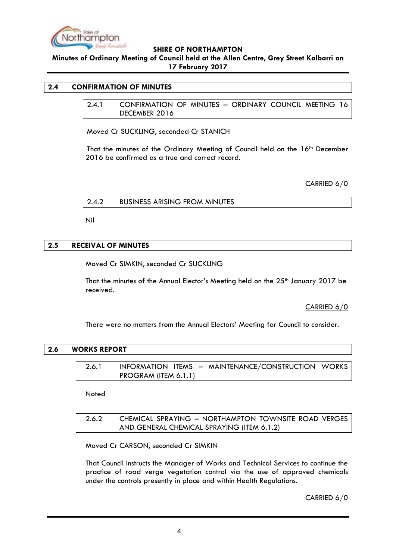

**Minutes of Ordinary Meeting of Council held at the Allen Centre, Grey Street Kalbarri on 17 February 2017**

#### <span id="page-3-1"></span><span id="page-3-0"></span>**2.4 CONFIRMATION OF MINUTES**

2.4.1 CONFIRMATION OF MINUTES – ORDINARY COUNCIL MEETING 16 DECEMBER 2016

Moved Cr SUCKLING, seconded Cr STANICH

That the minutes of the Ordinary Meeting of Council held on the 16th December 2016 be confirmed as a true and correct record.

CARRIED 6/0

<span id="page-3-2"></span>2.4.2 BUSINESS ARISING FROM MINUTES

Nil

## <span id="page-3-3"></span>**2.5 RECEIVAL OF MINUTES**

Moved Cr SIMKIN, seconded Cr SUCKLING

That the minutes of the Annual Elector's Meeting held on the 25<sup>th</sup> January 2017 be received.

CARRIED 6/0

There were no matters from the Annual Electors" Meeting for Council to consider.

#### <span id="page-3-5"></span><span id="page-3-4"></span>**2.6 WORKS REPORT**

2.6.1 INFORMATION ITEMS – MAINTENANCE/CONSTRUCTION WORKS PROGRAM (ITEM 6.1.1)

Noted

# <span id="page-3-6"></span>2.6.2 CHEMICAL SPRAYING – NORTHAMPTON TOWNSITE ROAD VERGES AND GENERAL CHEMICAL SPRAYING (ITEM 6.1.2)

Moved Cr CARSON, seconded Cr SIMKIN

That Council instructs the Manager of Works and Technical Services to continue the practice of road verge vegetation control via the use of approved chemicals under the controls presently in place and within Health Regulations.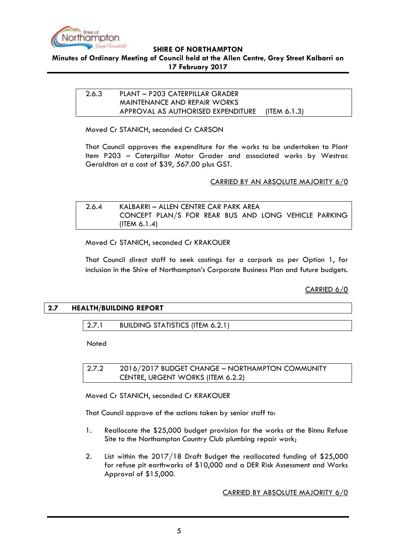

#### <span id="page-4-0"></span>**Minutes of Ordinary Meeting of Council held at the Allen Centre, Grey Street Kalbarri on 17 February 2017**

# 2.6.3 PLANT – P203 CATERPILLAR GRADER MAINTENANCE AND REPAIR WORKS APPROVAL AS AUTHORISED EXPENDITURE (ITEM 6.1.3)

Moved Cr STANICH, seconded Cr CARSON

That Council approves the expenditure for the works to be undertaken to Plant Item P203 – Caterpillar Motor Grader and associated works by Westrac Geraldton at a cost of \$39, 567.00 plus GST.

## CARRIED BY AN ABSOLUTE MAJORITY 6/0

<span id="page-4-1"></span>

| 2.6.4 | KALBARRI – ALLEN CENTRE CAR PARK AREA                |  |
|-------|------------------------------------------------------|--|
|       | CONCEPT PLAN/S FOR REAR BUS AND LONG VEHICLE PARKING |  |
|       | (ITEM $6.1.4$ )                                      |  |

Moved Cr STANICH, seconded Cr KRAKOUER

That Council direct staff to seek costings for a carpark as per Option 1, for inclusion in the Shire of Northampton"s Corporate Business Plan and future budgets.

CARRIED 6/0

# <span id="page-4-3"></span><span id="page-4-2"></span>**2.7 HEALTH/BUILDING REPORT**

2.7.1 BUILDING STATISTICS (ITEM 6.2.1)

Noted

<span id="page-4-4"></span>2.7.2 2016/2017 BUDGET CHANGE – NORTHAMPTON COMMUNITY CENTRE, URGENT WORKS (ITEM 6.2.2)

Moved Cr STANICH, seconded Cr KRAKOUER

That Council approve of the actions taken by senior staff to:

- 1. Reallocate the \$25,000 budget provision for the works at the Binnu Refuse Site to the Northampton Country Club plumbing repair work;
- 2. List within the 2017/18 Draft Budget the reallocated funding of \$25,000 for refuse pit earthworks of \$10,000 and a DER Risk Assessment and Works Approval of \$15,000.

CARRIED BY ABSOLUTE MAJORITY 6/0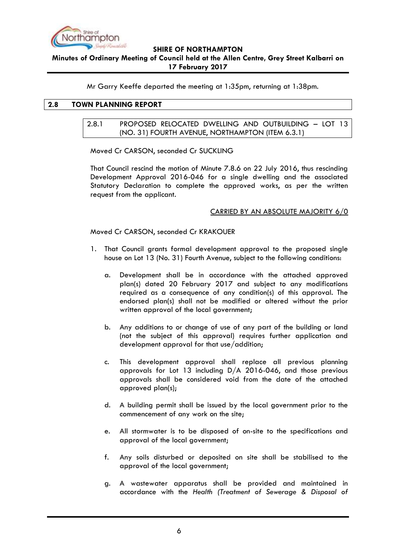

**Minutes of Ordinary Meeting of Council held at the Allen Centre, Grey Street Kalbarri on 17 February 2017**

Mr Garry Keeffe departed the meeting at 1:35pm, returning at 1:38pm.

## <span id="page-5-1"></span><span id="page-5-0"></span>**2.8 TOWN PLANNING REPORT**

## 2.8.1 PROPOSED RELOCATED DWELLING AND OUTBUILDING – LOT 13 (NO. 31) FOURTH AVENUE, NORTHAMPTON (ITEM 6.3.1)

Moved Cr CARSON, seconded Cr SUCKLING

That Council rescind the motion of Minute 7.8.6 on 22 July 2016, thus rescinding Development Approval 2016-046 for a single dwelling and the associated Statutory Declaration to complete the approved works, as per the written request from the applicant.

## CARRIED BY AN ABSOLUTE MAJORITY 6/0

Moved Cr CARSON, seconded Cr KRAKOUER

- 1. That Council grants formal development approval to the proposed single house on Lot 13 (No. 31) Fourth Avenue, subject to the following conditions:
	- a. Development shall be in accordance with the attached approved plan(s) dated 20 February 2017 and subject to any modifications required as a consequence of any condition(s) of this approval. The endorsed plan(s) shall not be modified or altered without the prior written approval of the local government;
	- b. Any additions to or change of use of any part of the building or land (not the subject of this approval) requires further application and development approval for that use/addition;
	- c. This development approval shall replace all previous planning approvals for Lot 13 including D/A 2016-046, and those previous approvals shall be considered void from the date of the attached approved plan(s);
	- d. A building permit shall be issued by the local government prior to the commencement of any work on the site;
	- e. All stormwater is to be disposed of on-site to the specifications and approval of the local government;
	- f. Any soils disturbed or deposited on site shall be stabilised to the approval of the local government;
	- g. A wastewater apparatus shall be provided and maintained in accordance with the *Health (Treatment of Sewerage & Disposal of*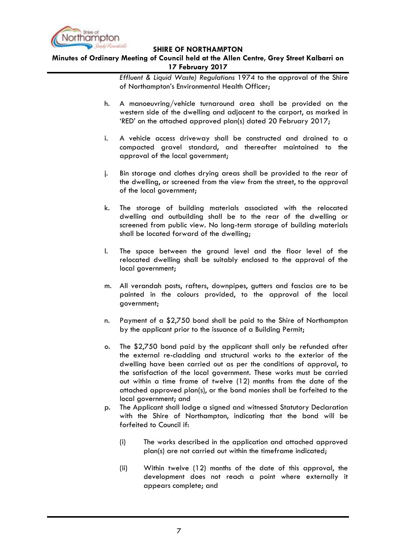

# **Minutes of Ordinary Meeting of Council held at the Allen Centre, Grey Street Kalbarri on 17 February 2017**

*Effluent & Liquid Waste) Regulations* 1974 to the approval of the Shire of Northampton"s Environmental Health Officer;

- h. A manoeuvring/vehicle turnaround area shall be provided on the western side of the dwelling and adjacent to the carport, as marked in "RED" on the attached approved plan(s) dated 20 February 2017;
- i. A vehicle access driveway shall be constructed and drained to a compacted gravel standard, and thereafter maintained to the approval of the local government;
- j. Bin storage and clothes drying areas shall be provided to the rear of the dwelling, or screened from the view from the street, to the approval of the local government;
- k. The storage of building materials associated with the relocated dwelling and outbuilding shall be to the rear of the dwelling or screened from public view. No long-term storage of building materials shall be located forward of the dwelling;
- l. The space between the ground level and the floor level of the relocated dwelling shall be suitably enclosed to the approval of the local government;
- m. All verandah posts, rafters, downpipes, gutters and fascias are to be painted in the colours provided, to the approval of the local government;
- n. Payment of a \$2,750 bond shall be paid to the Shire of Northampton by the applicant prior to the issuance of a Building Permit;
- o. The \$2,750 bond paid by the applicant shall only be refunded after the external re-cladding and structural works to the exterior of the dwelling have been carried out as per the conditions of approval, to the satisfaction of the local government. These works must be carried out within a time frame of twelve (12) months from the date of the attached approved plan(s), or the bond monies shall be forfeited to the local government; and
- p. The Applicant shall lodge a signed and witnessed Statutory Declaration with the Shire of Northampton, indicating that the bond will be forfeited to Council if:
	- (i) The works described in the application and attached approved plan(s) are not carried out within the timeframe indicated;
	- (ii) Within twelve (12) months of the date of this approval, the development does not reach a point where externally it appears complete; and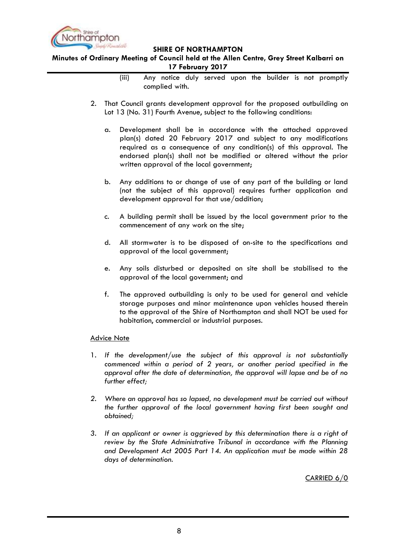

**Minutes of Ordinary Meeting of Council held at the Allen Centre, Grey Street Kalbarri on 17 February 2017**

- (iii) Any notice duly served upon the builder is not promptly complied with.
- 2. That Council grants development approval for the proposed outbuilding on Lot 13 (No. 31) Fourth Avenue, subject to the following conditions:
	- a. Development shall be in accordance with the attached approved plan(s) dated 20 February 2017 and subject to any modifications required as a consequence of any condition(s) of this approval. The endorsed plan(s) shall not be modified or altered without the prior written approval of the local government;
	- b. Any additions to or change of use of any part of the building or land (not the subject of this approval) requires further application and development approval for that use/addition;
	- c. A building permit shall be issued by the local government prior to the commencement of any work on the site;
	- d. All stormwater is to be disposed of on-site to the specifications and approval of the local government;
	- e. Any soils disturbed or deposited on site shall be stabilised to the approval of the local government; and
	- f. The approved outbuilding is only to be used for general and vehicle storage purposes and minor maintenance upon vehicles housed therein to the approval of the Shire of Northampton and shall NOT be used for habitation, commercial or industrial purposes.

#### Advice Note

- 1. *If the development/use the subject of this approval is not substantially commenced within a period of 2 years, or another period specified in the approval after the date of determination, the approval will lapse and be of no further effect;*
- *2. Where an approval has so lapsed, no development must be carried out without the further approval of the local government having first been sought and obtained;*
- *3. If an applicant or owner is aggrieved by this determination there is a right of review by the State Administrative Tribunal in accordance with the Planning and Development Act 2005 Part 14. An application must be made within 28 days of determination.*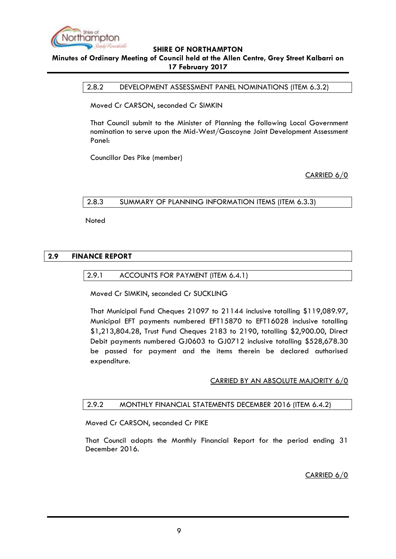

# <span id="page-8-0"></span>**Minutes of Ordinary Meeting of Council held at the Allen Centre, Grey Street Kalbarri on 17 February 2017**

## 2.8.2 DEVELOPMENT ASSESSMENT PANEL NOMINATIONS (ITEM 6.3.2)

Moved Cr CARSON, seconded Cr SIMKIN

That Council submit to the Minister of Planning the following Local Government nomination to serve upon the Mid-West/Gascoyne Joint Development Assessment Panel:

Councillor Des Pike (member)

CARRIED 6/0

## <span id="page-8-1"></span>2.8.3 SUMMARY OF PLANNING INFORMATION ITEMS (ITEM 6.3.3)

Noted

## <span id="page-8-3"></span><span id="page-8-2"></span>**2.9 FINANCE REPORT**

#### 2.9.1 ACCOUNTS FOR PAYMENT (ITEM 6.4.1)

Moved Cr SIMKIN, seconded Cr SUCKLING

That Municipal Fund Cheques 21097 to 21144 inclusive totalling \$119,089.97, Municipal EFT payments numbered EFT15870 to EFT16028 inclusive totalling \$1,213,804.28, Trust Fund Cheques 2183 to 2190, totalling \$2,900.00, Direct Debit payments numbered GJ0603 to GJ0712 inclusive totalling \$528,678.30 be passed for payment and the items therein be declared authorised expenditure.

# CARRIED BY AN ABSOLUTE MAJORITY 6/0

#### <span id="page-8-4"></span>2.9.2 MONTHLY FINANCIAL STATEMENTS DECEMBER 2016 (ITEM 6.4.2)

Moved Cr CARSON, seconded Cr PIKE

That Council adopts the Monthly Financial Report for the period ending 31 December 2016.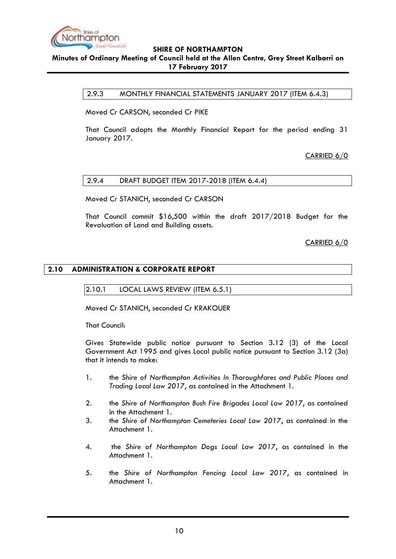

## <span id="page-9-0"></span>**Minutes of Ordinary Meeting of Council held at the Allen Centre, Grey Street Kalbarri on 17 February 2017**

2.9.3 MONTHLY FINANCIAL STATEMENTS JANUARY 2017 (ITEM 6.4.3)

Moved Cr CARSON, seconded Cr PIKE

That Council adopts the Monthly Financial Report for the period ending 31 January 2017.

CARRIED 6/0

## <span id="page-9-1"></span>2.9.4 DRAFT BUDGET ITEM 2017-2018 (ITEM 6.4.4)

Moved Cr STANICH, seconded Cr CARSON

That Council commit \$16,500 within the draft 2017/2018 Budget for the Revaluation of Land and Building assets.

CARRIED 6/0

## <span id="page-9-3"></span><span id="page-9-2"></span>**2.10 ADMINISTRATION & CORPORATE REPORT**

2.10.1 LOCAL LAWS REVIEW (ITEM 6.5.1)

Moved Cr STANICH, seconded Cr KRAKOUER

That Council:

Gives Statewide public notice pursuant to Section 3.12 (3) of the Local Government Act 1995 and gives Local public notice pursuant to Section 3.12 (3a) that it intends to make:

- 1. the *Shire of Northampton Activities In Thoroughfares and Public Places and Trading Local Law 2017*, as contained in the Attachment 1.
- 2. the *Shire of Northampton Bush Fire Brigades Local Law 2017*, as contained in the Attachment 1.
- 3. the *Shire of Northampton Cemeteries Local Law 2017*, as contained in the Attachment 1.
- 4. the *Shire of Northampton Dogs Local Law 2017*, as contained in the Attachment 1.
- 5. the *Shire of Northampton Fencing Local Law 2017*, as contained in Attachment 1.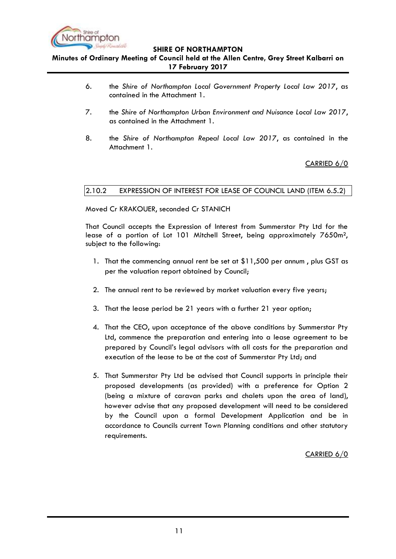

**Minutes of Ordinary Meeting of Council held at the Allen Centre, Grey Street Kalbarri on 17 February 2017**

- 6. the *Shire of Northampton Local Government Property Local Law 2017*, as contained in the Attachment 1.
- 7. the *Shire of Northampton Urban Environment and Nuisance Local Law 2017*, as contained in the Attachment 1.
- 8. the *Shire of Northampton Repeal Local Law 2017*, as contained in the Attachment 1.

# CARRIED 6/0

## <span id="page-10-0"></span>2.10.2 EXPRESSION OF INTEREST FOR LEASE OF COUNCIL LAND (ITEM 6.5.2)

Moved Cr KRAKOUER, seconded Cr STANICH

That Council accepts the Expression of Interest from Summerstar Pty Ltd for the lease of a portion of Lot 101 Mitchell Street, being approximately 7650m², subject to the following:

- 1. That the commencing annual rent be set at \$11,500 per annum , plus GST as per the valuation report obtained by Council;
- 2. The annual rent to be reviewed by market valuation every five years;
- 3. That the lease period be 21 years with a further 21 year option;
- 4. That the CEO, upon acceptance of the above conditions by Summerstar Pty Ltd, commence the preparation and entering into a lease agreement to be prepared by Council"s legal advisors with all costs for the preparation and execution of the lease to be at the cost of Summerstar Pty Ltd; and
- 5. That Summerstar Pty Ltd be advised that Council supports in principle their proposed developments (as provided) with a preference for Option 2 (being a mixture of caravan parks and chalets upon the area of land), however advise that any proposed development will need to be considered by the Council upon a formal Development Application and be in accordance to Councils current Town Planning conditions and other statutory requirements.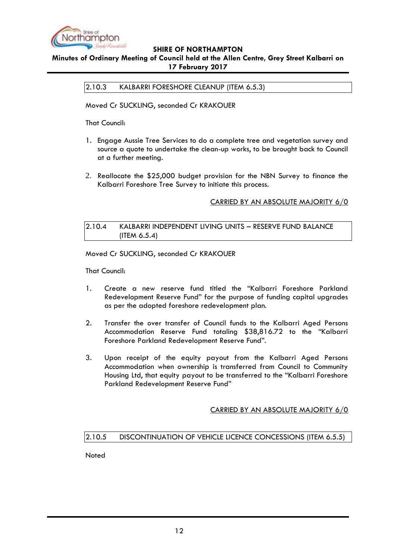

# <span id="page-11-0"></span>**Minutes of Ordinary Meeting of Council held at the Allen Centre, Grey Street Kalbarri on 17 February 2017**

2.10.3 KALBARRI FORESHORE CLEANUP (ITEM 6.5.3)

Moved Cr SUCKLING, seconded Cr KRAKOUER

That Council:

- 1. Engage Aussie Tree Services to do a complete tree and vegetation survey and source a quote to undertake the clean-up works, to be brought back to Council at a further meeting.
- 2. Reallocate the \$25,000 budget provision for the NBN Survey to finance the Kalbarri Foreshore Tree Survey to initiate this process.

# CARRIED BY AN ABSOLUTE MAJORITY 6/0

## <span id="page-11-1"></span>2.10.4 KALBARRI INDEPENDENT LIVING UNITS – RESERVE FUND BALANCE (ITEM 6.5.4)

Moved Cr SUCKLING, seconded Cr KRAKOUER

That Council:

- 1. Create a new reserve fund titled the "Kalbarri Foreshore Parkland Redevelopment Reserve Fund" for the purpose of funding capital upgrades as per the adopted foreshore redevelopment plan.
- 2. Transfer the over transfer of Council funds to the Kalbarri Aged Persons Accommodation Reserve Fund totaling \$38,816.72 to the "Kalbarri Foreshore Parkland Redevelopment Reserve Fund".
- 3. Upon receipt of the equity payout from the Kalbarri Aged Persons Accommodation when ownership is transferred from Council to Community Housing Ltd, that equity payout to be transferred to the "Kalbarri Foreshore Parkland Redevelopment Reserve Fund"

# CARRIED BY AN ABSOLUTE MAJORITY 6/0

# <span id="page-11-2"></span>2.10.5 DISCONTINUATION OF VEHICLE LICENCE CONCESSIONS (ITEM 6.5.5)

Noted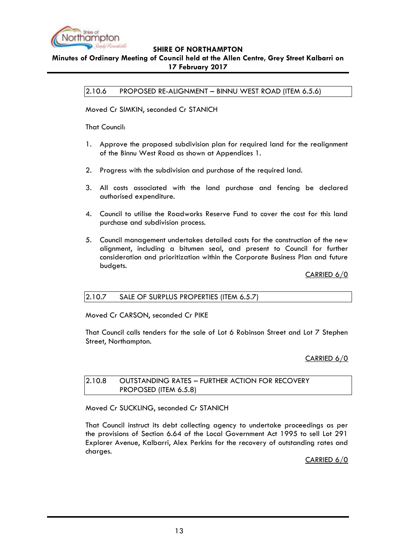

# <span id="page-12-0"></span>**Minutes of Ordinary Meeting of Council held at the Allen Centre, Grey Street Kalbarri on 17 February 2017**

2.10.6 PROPOSED RE-ALIGNMENT – BINNU WEST ROAD (ITEM 6.5.6)

Moved Cr SIMKIN, seconded Cr STANICH

That Council:

- 1. Approve the proposed subdivision plan for required land for the realignment of the Binnu West Road as shown at Appendices 1.
- 2. Progress with the subdivision and purchase of the required land.
- 3. All costs associated with the land purchase and fencing be declared authorised expenditure.
- 4. Council to utilise the Roadworks Reserve Fund to cover the cost for this land purchase and subdivision process.
- 5. Council management undertakes detailed costs for the construction of the new alignment, including a bitumen seal, and present to Council for further consideration and prioritization within the Corporate Business Plan and future budgets.

CARRIED 6/0

# <span id="page-12-1"></span>2.10.7 SALE OF SURPLUS PROPERTIES (ITEM 6.5.7)

Moved Cr CARSON, seconded Cr PIKE

That Council calls tenders for the sale of Lot 6 Robinson Street and Lot 7 Stephen Street, Northampton.

CARRIED 6/0

# <span id="page-12-2"></span>2.10.8 OUTSTANDING RATES – FURTHER ACTION FOR RECOVERY PROPOSED (ITEM 6.5.8)

Moved Cr SUCKLING, seconded Cr STANICH

That Council instruct its debt collecting agency to undertake proceedings as per the provisions of Section 6.64 of the Local Government Act 1995 to sell Lot 291 Explorer Avenue, Kalbarri, Alex Perkins for the recovery of outstanding rates and charges.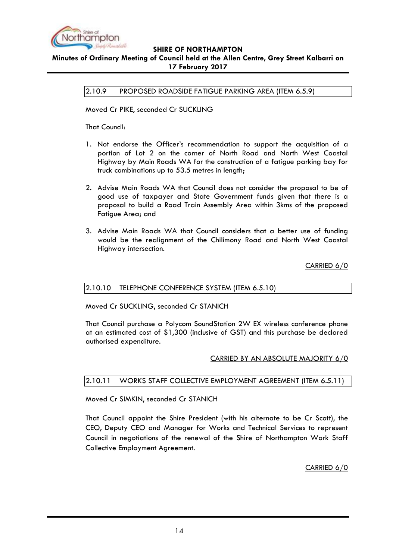

<span id="page-13-0"></span>**Minutes of Ordinary Meeting of Council held at the Allen Centre, Grey Street Kalbarri on 17 February 2017**

2.10.9 PROPOSED ROADSIDE FATIGUE PARKING AREA (ITEM 6.5.9)

Moved Cr PIKE, seconded Cr SUCKLING

That Council:

- 1. Not endorse the Officer"s recommendation to support the acquisition of a portion of Lot 2 on the corner of North Road and North West Coastal Highway by Main Roads WA for the construction of a fatigue parking bay for truck combinations up to 53.5 metres in length;
- 2. Advise Main Roads WA that Council does not consider the proposal to be of good use of taxpayer and State Government funds given that there is a proposal to build a Road Train Assembly Area within 3kms of the proposed Fatigue Area; and
- 3. Advise Main Roads WA that Council considers that a better use of funding would be the realignment of the Chilimony Road and North West Coastal Highway intersection.

CARRIED 6/0

#### <span id="page-13-1"></span>2.10.10 TELEPHONE CONFERENCE SYSTEM (ITEM 6.5.10)

Moved Cr SUCKLING, seconded Cr STANICH

That Council purchase a Polycom SoundStation 2W EX wireless conference phone at an estimated cost of \$1,300 (inclusive of GST) and this purchase be declared authorised expenditure.

# CARRIED BY AN ABSOLUTE MAJORITY 6/0

# <span id="page-13-2"></span>2.10.11 WORKS STAFF COLLECTIVE EMPLOYMENT AGREEMENT (ITEM 6.5.11)

Moved Cr SIMKIN, seconded Cr STANICH

That Council appoint the Shire President (with his alternate to be Cr Scott), the CEO, Deputy CEO and Manager for Works and Technical Services to represent Council in negotiations of the renewal of the Shire of Northampton Work Staff Collective Employment Agreement.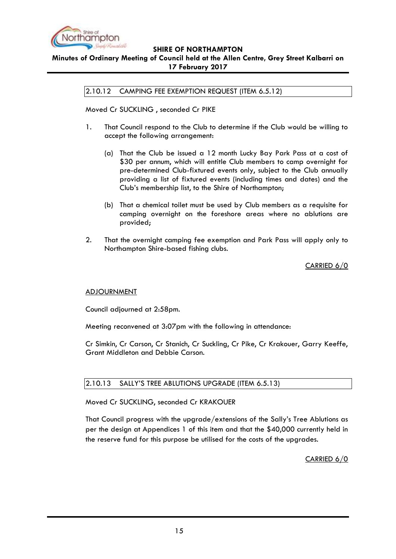

# <span id="page-14-0"></span>**Minutes of Ordinary Meeting of Council held at the Allen Centre, Grey Street Kalbarri on 17 February 2017**

2.10.12 CAMPING FEE EXEMPTION REQUEST (ITEM 6.5.12)

Moved Cr SUCKLING , seconded Cr PIKE

- 1. That Council respond to the Club to determine if the Club would be willing to accept the following arrangement:
	- (a) That the Club be issued a 12 month Lucky Bay Park Pass at a cost of \$30 per annum, which will entitle Club members to camp overnight for pre-determined Club-fixtured events only, subject to the Club annually providing a list of fixtured events (including times and dates) and the Club"s membership list, to the Shire of Northampton;
	- (b) That a chemical toilet must be used by Club members as a requisite for camping overnight on the foreshore areas where no ablutions are provided;
- 2. That the overnight camping fee exemption and Park Pass will apply only to Northampton Shire-based fishing clubs.

CARRIED 6/0

#### ADJOURNMENT

Council adjourned at 2:58pm.

Meeting reconvened at 3:07pm with the following in attendance:

Cr Simkin, Cr Carson, Cr Stanich, Cr Suckling, Cr Pike, Cr Krakouer, Garry Keeffe, Grant Middleton and Debbie Carson.

#### <span id="page-14-1"></span>2.10.13 SALLY"S TREE ABLUTIONS UPGRADE (ITEM 6.5.13)

Moved Cr SUCKLING, seconded Cr KRAKOUER

That Council progress with the upgrade/extensions of the Sally"s Tree Ablutions as per the design at Appendices 1 of this item and that the \$40,000 currently held in the reserve fund for this purpose be utilised for the costs of the upgrades.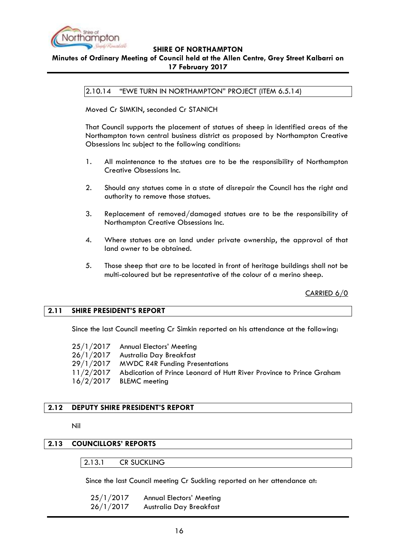

## <span id="page-15-0"></span>**Minutes of Ordinary Meeting of Council held at the Allen Centre, Grey Street Kalbarri on 17 February 2017**

2.10.14 "EWE TURN IN NORTHAMPTON" PROJECT (ITEM 6.5.14)

Moved Cr SIMKIN, seconded Cr STANICH

That Council supports the placement of statues of sheep in identified areas of the Northampton town central business district as proposed by Northampton Creative Obsessions Inc subject to the following conditions:

- 1. All maintenance to the statues are to be the responsibility of Northampton Creative Obsessions Inc.
- 2. Should any statues come in a state of disrepair the Council has the right and authority to remove those statues.
- 3. Replacement of removed/damaged statues are to be the responsibility of Northampton Creative Obsessions Inc.
- 4. Where statues are on land under private ownership, the approval of that land owner to be obtained.
- 5. Those sheep that are to be located in front of heritage buildings shall not be multi-coloured but be representative of the colour of a merino sheep.

CARRIED 6/0

#### <span id="page-15-1"></span>**2.11 SHIRE PRESIDENT'S REPORT**

Since the last Council meeting Cr Simkin reported on his attendance at the following:

| 25/1/2017 Annual Electors' Meeting                                             |
|--------------------------------------------------------------------------------|
| 26/1/2017 Australia Day Breakfast                                              |
| 29/1/2017 MWDC R4R Funding Presentations                                       |
| 11/2/2017 Abdication of Prince Leonard of Hutt River Province to Prince Graham |
| $16/2/2017$ BLEMC meeting                                                      |

# <span id="page-15-2"></span>**2.12 DEPUTY SHIRE PRESIDENT'S REPORT**

Nil

# <span id="page-15-4"></span><span id="page-15-3"></span>**2.13 COUNCILLORS' REPORTS**

2.13.1 CR SUCKLING

Since the last Council meeting Cr Suckling reported on her attendance at:

| 25/1/2017 | <b>Annual Electors' Meeting</b> |
|-----------|---------------------------------|
| 26/1/2017 | Australia Day Breakfast         |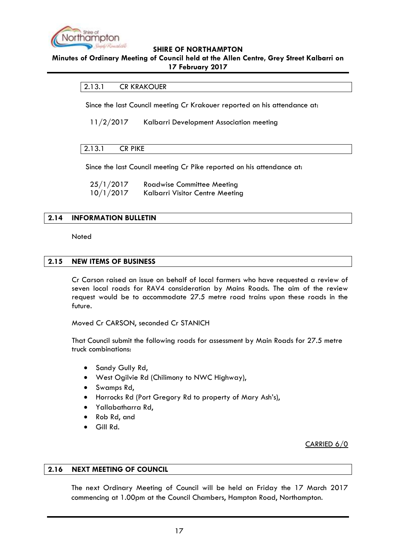

#### <span id="page-16-0"></span>**Minutes of Ordinary Meeting of Council held at the Allen Centre, Grey Street Kalbarri on 17 February 2017**

## 2.13.1 CR KRAKOUER

Since the last Council meeting Cr Krakouer reported on his attendance at:

11/2/2017 Kalbarri Development Association meeting

## <span id="page-16-1"></span>2.13.1 CR PIKE

Since the last Council meeting Cr Pike reported on his attendance at:

25/1/2017 Roadwise Committee Meeting 10/1/2017 Kalbarri Visitor Centre Meeting

## <span id="page-16-2"></span>**2.14 INFORMATION BULLETIN**

Noted

## <span id="page-16-3"></span>**2.15 NEW ITEMS OF BUSINESS**

Cr Carson raised an issue on behalf of local farmers who have requested a review of seven local roads for RAV4 consideration by Mains Roads. The aim of the review request would be to accommodate 27.5 metre road trains upon these roads in the future.

Moved Cr CARSON, seconded Cr STANICH

That Council submit the following roads for assessment by Main Roads for 27.5 metre truck combinations:

- Sandy Gully Rd,
- West Ogilvie Rd (Chilimony to NWC Highway),
- Swamps Rd,
- Horrocks Rd (Port Gregory Rd to property of Mary Ash"s),
- Yallabatharra Rd,
- Rob Rd, and
- Gill Rd.

CARRIED 6/0

#### <span id="page-16-4"></span>**2.16 NEXT MEETING OF COUNCIL**

The next Ordinary Meeting of Council will be held on Friday the 17 March 2017 commencing at 1.00pm at the Council Chambers, Hampton Road, Northampton.